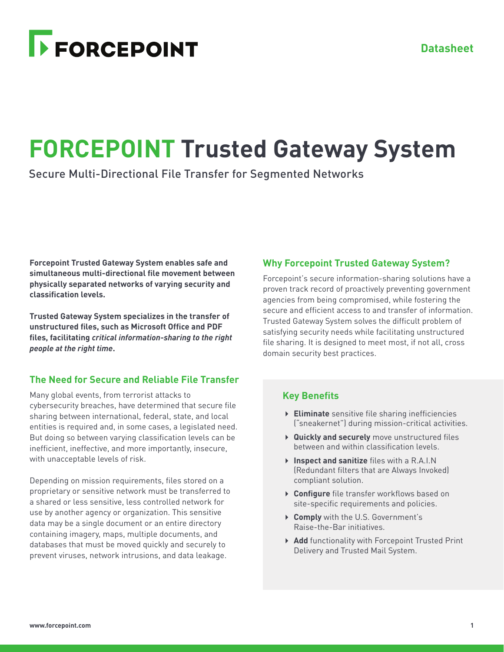# **FORCEPOINT**

# **FORCEPOINT Trusted Gateway System**

Secure Multi-Directional File Transfer for Segmented Networks

**Forcepoint Trusted Gateway System enables safe and simultaneous multi-directional file movement between physically separated networks of varying security and classification levels.** 

**Trusted Gateway System specializes in the transfer of unstructured files, such as Microsoft Office and PDF files, facilitating** *critical information-sharing to the right people at the right time***.**

# **The Need for Secure and Reliable File Transfer**

Many global events, from terrorist attacks to cybersecurity breaches, have determined that secure file sharing between international, federal, state, and local entities is required and, in some cases, a legislated need. But doing so between varying classification levels can be inefficient, ineffective, and more importantly, insecure, with unacceptable levels of risk.

Depending on mission requirements, files stored on a proprietary or sensitive network must be transferred to a shared or less sensitive, less controlled network for use by another agency or organization. This sensitive data may be a single document or an entire directory containing imagery, maps, multiple documents, and databases that must be moved quickly and securely to prevent viruses, network intrusions, and data leakage.

# **Why Forcepoint Trusted Gateway System?**

Forcepoint's secure information-sharing solutions have a proven track record of proactively preventing government agencies from being compromised, while fostering the secure and efficient access to and transfer of information. Trusted Gateway System solves the difficult problem of satisfying security needs while facilitating unstructured file sharing. It is designed to meet most, if not all, cross domain security best practices.

# **Key Benefits**

- **Eliminate** sensitive file sharing inefficiencies ("sneakernet") during mission-critical activities.
- **Quickly and securely** move unstructured files between and within classification levels.
- **Inspect and sanitize** files with a R.A.I.N (Redundant filters that are Always Invoked) compliant solution.
- **Configure** file transfer workflows based on site-specific requirements and policies.
- **Comply** with the U.S. Government's Raise-the-Bar initiatives.
- **Add** functionality with Forcepoint Trusted Print Delivery and Trusted Mail System.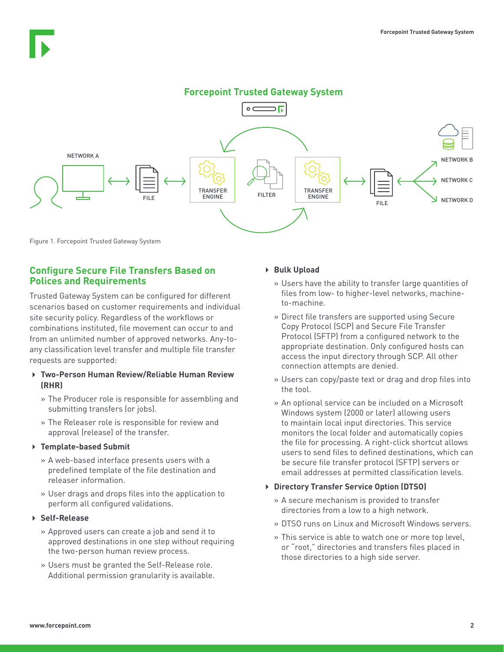### **Forcepoint Trusted Gateway System**



Figure 1. Forcepoint Trusted Gateway System

#### **Configure Secure File Transfers Based on Polices and Requirements**

Trusted Gateway System can be configured for different scenarios based on customer requirements and individual site security policy. Regardless of the workflows or combinations instituted, file movement can occur to and from an unlimited number of approved networks. Any-toany classification level transfer and multiple file transfer requests are supported:

#### **Two-Person Human Review/Reliable Human Review (RHR)**

- » The Producer role is responsible for assembling and submitting transfers (or jobs).
- » The Releaser role is responsible for review and approval (release) of the transfer.

#### **Template-based Submit**

- » A web-based interface presents users with a predefined template of the file destination and releaser information.
- » User drags and drops files into the application to perform all configured validations.

#### **Self-Release**

- » Approved users can create a job and send it to approved destinations in one step without requiring the two-person human review process.
- » Users must be granted the Self-Release role. Additional permission granularity is available.

#### **Bulk Upload**

- » Users have the ability to transfer large quantities of files from low- to higher-level networks, machineto-machine.
- » Direct file transfers are supported using Secure Copy Protocol (SCP) and Secure File Transfer Protocol (SFTP) from a configured network to the appropriate destination. Only configured hosts can access the input directory through SCP. All other connection attempts are denied.
- » Users can copy/paste text or drag and drop files into the tool.
- » An optional service can be included on a Microsoft Windows system (2000 or later) allowing users to maintain local input directories. This service monitors the local folder and automatically copies the file for processing. A right-click shortcut allows users to send files to defined destinations, which can be secure file transfer protocol (SFTP) servers or email addresses at permitted classification levels.

#### **Directory Transfer Service Option (DTSO)**

- » A secure mechanism is provided to transfer directories from a low to a high network.
- » DTSO runs on Linux and Microsoft Windows servers.
- » This service is able to watch one or more top level, or "root," directories and transfers files placed in those directories to a high side server.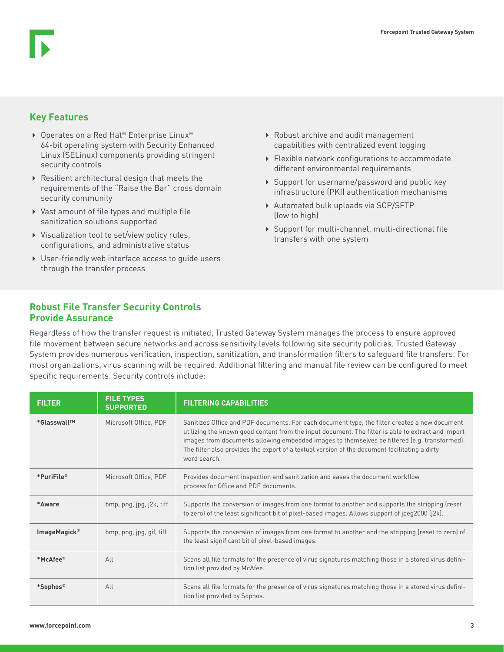# **Key Features**

- ▶ Operates on a Red Hat® Enterprise Linux® 64-bit operating system with Security Enhanced Linux (SELinux) components providing stringent security controls
- Resilient architectural design that meets the requirements of the "Raise the Bar" cross domain security community
- Vast amount of file types and multiple file sanitization solutions supported
- Visualization tool to set/view policy rules, configurations, and administrative status
- User-friendly web interface access to guide users through the transfer process
- Robust archive and audit management capabilities with centralized event logging
- Flexible network configurations to accommodate different environmental requirements
- ▶ Support for username/password and public key infrastructure (PKI) authentication mechanisms
- Automated bulk uploads via SCP/SFTP (low to high)
- Support for multi-channel, multi-directional file transfers with one system

## **Robust File Transfer Security Controls Provide Assurance**

Regardless of how the transfer request is initiated, Trusted Gateway System manages the process to ensure approved file movement between secure networks and across sensitivity levels following site security policies. Trusted Gateway System provides numerous verification, inspection, sanitization, and transformation filters to safeguard file transfers. For most organizations, virus scanning will be required. Additional filtering and manual file review can be configured to meet specific requirements. Security controls include:

| <b>FILTER</b>            | <b>FILE TYPES</b><br><b>SUPPORTED</b> | <b>FILTERING CAPABILITIES</b>                                                                                                                                                                                                                                                                                                                                                                                        |
|--------------------------|---------------------------------------|----------------------------------------------------------------------------------------------------------------------------------------------------------------------------------------------------------------------------------------------------------------------------------------------------------------------------------------------------------------------------------------------------------------------|
| *Glasswall <sup>™</sup>  | Microsoft Office, PDF                 | Sanitizes Office and PDF documents. For each document type, the filter creates a new document<br>utilizing the known good content from the input document. The filter is able to extract and import<br>images from documents allowing embedded images to themselves be filtered (e.g. transformed).<br>The filter also provides the export of a textual version of the document facilitating a dirty<br>word search. |
| *PuriFile®               | Microsoft Office, PDF                 | Provides document inspection and sanitization and eases the document workflow<br>process for Office and PDF documents.                                                                                                                                                                                                                                                                                               |
| *Aware                   | bmp, png, jpg, j2k, tiff              | Supports the conversion of images from one format to another and supports the stripping (reset<br>to zero) of the least significant bit of pixel-based images. Allows support of jpeg2000 (j2k).                                                                                                                                                                                                                     |
| ImageMagick <sup>®</sup> | bmp, png, jpg, gif, tiff              | Supports the conversion of images from one format to another and the stripping (reset to zero) of<br>the least significant bit of pixel-based images.                                                                                                                                                                                                                                                                |
| *McAfee®                 | AlI                                   | Scans all file formats for the presence of virus signatures matching those in a stored virus defini-<br>tion list provided by McAfee.                                                                                                                                                                                                                                                                                |
| *Sophos®                 | All                                   | Scans all file formats for the presence of virus signatures matching those in a stored virus defini-<br>tion list provided by Sophos.                                                                                                                                                                                                                                                                                |